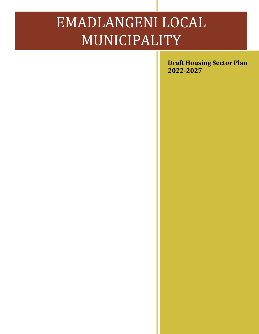# EMADLANGENI LOCAL MUNICIPALITY

**Draft Housing Sector Plan 2022-2027**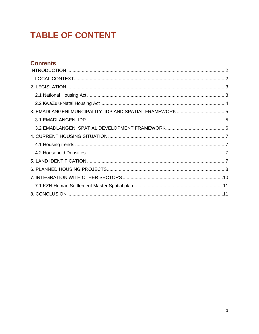# **TABLE OF CONTENT**

# **Contents**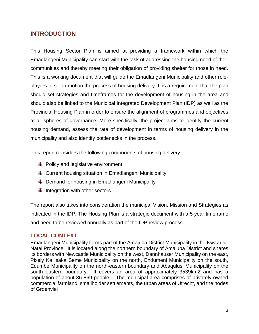### <span id="page-2-0"></span>**INTRODUCTION**

This Housing Sector Plan is aimed at providing a framework within which the Emadlangeni Municipality can start with the task of addressing the housing need of their communities and thereby meeting their obligation of providing shelter for those in need. This is a working document that will guide the Emadlangeni Municipality and other roleplayers to set in motion the process of housing delivery. It is a requirement that the plan should set strategies and timeframes for the development of housing in the area and should also be linked to the Municipal Integrated Development Plan (IDP) as well as the Provincial Housing Plan in order to ensure the alignment of programmes and objectives at all spheres of governance. More specifically, the project aims to identify the current housing demand, assess the rate of development in terms of housing delivery in the municipality and also identify bottlenecks in the process.

This report considers the following components of housing delivery:

- $\leftarrow$  Policy and legislative environment
- $\downarrow$  Current housing situation in Emadlangeni Municipality
- $\downarrow$  Demand for housing in Emadlangeni Municipality
- $\ddot{\bullet}$  Integration with other sectors

The report also takes into consideration the municipal Vision, Mission and Strategies as indicated in the IDP. The Housing Plan is a strategic document with a 5 year timeframe and need to be reviewed annually as part of the IDP review process.

#### <span id="page-2-1"></span>**LOCAL CONTEXT**

Emadlangeni Municipality forms part of the Amajuba District Municipality in the KwaZulu-Natal Province. It is located along the northern boundary of Amajuba District and shares its borders with Newcastle Municipality on the west, Dannhauser Municipality on the east, Pixely Ka Isaka Seme Municipality on the north, Endumeni Municipality on the south, Edumbe Municipality on the north-eastern boundary and Abaqulusi Municipality on the south eastern boundary. It covers an area of approximately 3539km2 and has a population of about 36 869 people. The municipal area comprises of privately owned commercial farmland, smallholder settlements, the urban areas of Utrecht, and the nodes of Groenvlei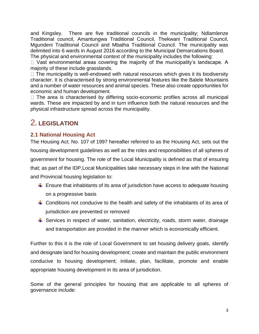and Kingsley. There are five traditional councils in the municipality; Ndlamlenze Traditional council, Amantungwa Traditional Council, Thekwani Traditional Council, Mgundeni Traditional Council and Mbatha Traditional Council. The municipality was delimited into 6 wards in August 2016 according to the Municipal Demarcations Board. The physical and environmental context of the municipality includes the following:

 $\Box$  Vast environmental areas covering the majority of the municipality's landscape. A majority of these include grasslands.

 $\Box$  The municipality is well-endowed with natural resources which gives it its biodiversity character. It is characterised by strong environmental features like the Balele Mountains and a number of water resources and animal species. These also create opportunities for economic and human development.

<span id="page-3-0"></span> $\Box$  The area is characterised by differing socio-economic profiles across all municipal wards. These are impacted by and in turn influence both the natural resources and the physical infrastructure spread across the municipality.

# 2**. LEGISLATION**

#### <span id="page-3-1"></span>**2.1 National Housing Act**

The Housing Act; No. 107 of 1997 hereafter referred to as the Housing Act, sets out the housing development guidelines as well as the roles and responsibilities of all spheres of government for housing. The role of the Local Municipality is defined as that of ensuring that; as part of the IDP,Local Municipalities take necessary steps in line with the National and Provincial housing legislation to:

- $\ddot{\phantom{1}}$  Ensure that inhabitants of its area of jurisdiction have access to adequate housing on a progressive basis
- $\ddot{\phantom{1}}$  Conditions not conducive to the health and safety of the inhabitants of its area of jurisdiction are prevented or removed
- $\ddot{+}$  Services in respect of water, sanitation, electricity, roads, storm water, drainage and transportation are provided in the manner which is economically efficient.

Further to this it is the role of Local Government to set housing delivery goals, identify and designate land for housing development; create and maintain the public environment conducive to housing development; initiate, plan, facilitate, promote and enable appropriate housing development in its area of jurisdiction.

Some of the general principles for housing that are applicable to all spheres of governance include: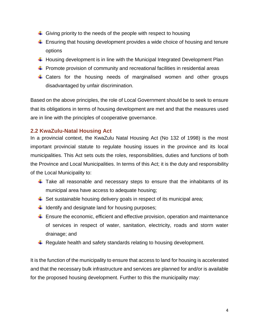- $\ddot{\phantom{1}}$  Giving priority to the needs of the people with respect to housing
- $\ddot{\phantom{1}}$  Ensuring that housing development provides a wide choice of housing and tenure options
- $\ddot{\phantom{1}}$  Housing development is in line with the Municipal Integrated Development Plan
- $\ddot{\phantom{1}}$  Promote provision of community and recreational facilities in residential areas
- + Caters for the housing needs of marginalised women and other groups disadvantaged by unfair discrimination.

Based on the above principles, the role of Local Government should be to seek to ensure that its obligations in terms of housing development are met and that the measures used are in line with the principles of cooperative governance.

#### <span id="page-4-0"></span>**2.2 KwaZulu-Natal Housing Act**

In a provincial context, the KwaZulu Natal Housing Act (No 132 of 1998) is the most important provincial statute to regulate housing issues in the province and its local municipalities. This Act sets outs the roles, responsibilities, duties and functions of both the Province and Local Municipalities. In terms of this Act; it is the duty and responsibility of the Local Municipality to:

- $\ddot$  Take all reasonable and necessary steps to ensure that the inhabitants of its municipal area have access to adequate housing;
- $\ddot{\phantom{1}}$  Set sustainable housing delivery goals in respect of its municipal area;
- $\downarrow$  Identify and designate land for housing purposes;
- $\ddot{\phantom{1}}$  Ensure the economic, efficient and effective provision, operation and maintenance of services in respect of water, sanitation, electricity, roads and storm water drainage; and
- $\ddot{+}$  Regulate health and safety standards relating to housing development.

It is the function of the municipality to ensure that access to land for housing is accelerated and that the necessary bulk infrastructure and services are planned for and/or is available for the proposed housing development. Further to this the municipality may: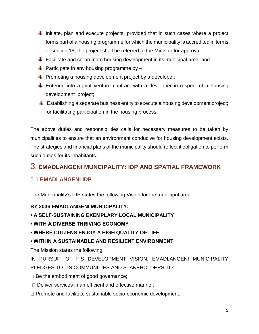- Initiate, plan and execute projects, provided that in such cases where a project forms part of a housing programme for which the municipality is accredited in terms of section 18, the project shall be referred to the Minister for approval;
- **Facilitate and co-ordinate housing development in its municipal area; and**
- $\downarrow$  Participate in any housing programme by –
- $\downarrow$  Promoting a housing development project by a developer;
- $\ddot$  Entering into a joint venture contract with a developer in respect of a housing development project;
- $\ddot{+}$  Establishing a separate business entity to execute a housing development project; or facilitating participation in the housing process.

The above duties and responsibilities calls for necessary measures to be taken by municipalities to ensure that an environment conducive for housing development exists. The strategies and financial plans of the municipality should reflect it obligation to perform such duties for its inhabitants.

# <span id="page-5-0"></span>3**. EMADLANGENI MUNCIPALITY: IDP AND SPATIAL FRAMEWORK**

## <span id="page-5-1"></span>3.**1 EMADLANGENI IDP**

The Municipality's IDP states the following Vision for the municipal area:

#### **BY 2036 EMADLANGENI MUNICIPALITY:**

#### **• A SELF-SUSTAINING EXEMPLARY LOCAL MUNICIPALITY**

- **WITH A DIVERSE THRIVING ECONOMY**
- **WHERE CITIZENS ENJOY A HIGH QUALITY OF LIFE**

#### **• WITHIN A SUSTAINABLE AND RESILIENT ENVIRONMENT**

The Mission states the following:

IN PURSUIT OF ITS DEVELOPMENT VISION, EMADLANGENI MUNICIPALITY PLEDGES TO ITS COMMUNITIES AND STAKEHOLDERS TO:

 $\Box$  Be the embodiment of good governance;

- $\Box$  Deliver services in an efficient and effective manner;
- $\Box$  Promote and facilitate sustainable socio-economic development;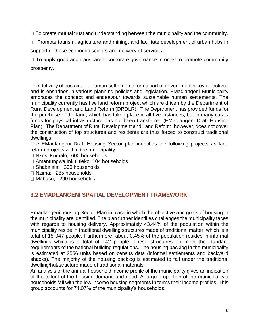$\Box$  To create mutual trust and understanding between the municipality and the community.

 $\Box$  Promote tourism, agriculture and mining, and facilitate development of urban hubs in

support of these economic sectors and delivery of services.

 $\Box$  To apply good and transparent corporate governance in order to promote community prosperity.

The delivery of sustainable human settlements forms part of government's key objectives and is enshrines in various planning policies and legislation. EMadlangeni Municipality embraces the concept and endeavour towards sustainable human settlements. The municipality currently has five land reform project which are driven by the Department of Rural Development and Land Reform (DRDLR). The Department has provided funds for the purchase of the land, which has taken place in all five instances, but in many cases funds for physical infrastructure has not been transferred (EMadlangeni Draft Housing Plan). The Department of Rural Development and Land Reform, however, does not cover the construction of top structures and residents are thus forced to construct traditional dwellings.

The EMadlangeni Draft Housing Sector plan identifies the following projects as land reform projects within the municipality:

- □ Nkosi Kumalo; 600 households
- □ Amantungwa Inkululeko; 104 households
- □ Shabalala; 300 households
- □ Nzima: 285 households
- □ Mabaso; 290 households

#### <span id="page-6-0"></span>**3.2 EMADLANGENI SPATIAL DEVELOPMENT FRAMEWORK**

Emadlangeni housing Sector Plan in place in which the objective and goals of housing in the municipality are identified. The plan further identifies challenges the municipality faces with regards to housing delivery. Approximately 43.44% of the population within the municipality reside in traditional dwelling structures made of traditional matter, which is a total of 15 947 people. Furthermore, about 0.45% of the population resides in informal dwellings which is a total of 142 people. These structures do meet the standard requirements of the national building regulations. The housing backlog in the municipality is estimated at 2556 units based on census data (informal settlements and backyard shacks). The majority of the housing backlog is estimated to fall under the traditional dwelling/hut/structure made of traditional materials.

An analysis of the annual household income profile of the municipality gives an indication of the extent of the housing demand and need. A large proportion of the municipality's households fall with the low income housing segments in terms their income profiles. This group accounts for 71.07% of the municipality's households.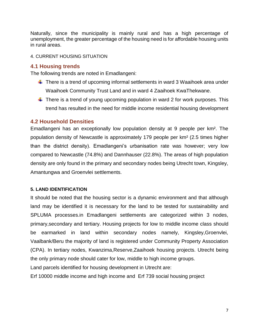Naturally, since the municipality is mainly rural and has a high percentage of unemployment, the greater percentage of the housing need is for affordable housing units in rural areas.

#### <span id="page-7-0"></span>4. CURRENT HOUSING SITUATION

#### <span id="page-7-1"></span>**4.1 Housing trends**

The following trends are noted in Emadlangeni:

- $\ddot$  There is a trend of upcoming informal settlements in ward 3 Waaihoek area under Waaihoek Community Trust Land and in ward 4 Zaaihoek KwaThekwane.
- $\ddot{\phantom{1}}$  There is a trend of young upcoming population in ward 2 for work purposes. This trend has resulted in the need for middle income residential housing development

#### <span id="page-7-2"></span>**4.2 Household Densities**

Emadlangeni has an exceptionally low population density at 9 people per km². The population density of Newcastle is approximately 179 people per km² (2.5 times higher than the district density). Emadlangeni's urbanisation rate was however; very low compared to Newcastle (74.8%) and Dannhauser (22.8%). The areas of high population density are only found in the primary and secondary nodes being Utrecht town, Kingsley, Amantungwa and Groenvlei settlements.

#### <span id="page-7-3"></span>**5. LAND IDENTIFICATION**

It should be noted that the housing sector is a dynamic environment and that although land may be identified it is necessary for the land to be tested for sustainability and SPLUMA processes.in Emadlangeni settlements are categorized within 3 nodes, primary,secondary and tertiary. Housing projects for low to middle income class should be earmarked in land within secondary nodes namely, Kingsley,Groenvlei, Vaalbank/Beru the majority of land is registered under Community Property Association (CPA). In tertiary nodes, Kwanzima,Reserve,Zaaihoek housing projects. Utrecht being the only primary node should cater for low, middle to high income groups.

Land parcels identified for housing development in Utrecht are:

Erf 10000 middle income and high income and Erf 739 social housing project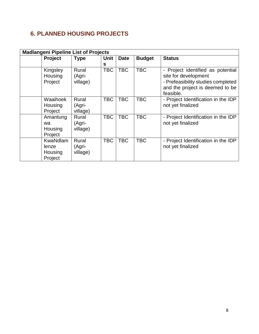# <span id="page-8-0"></span>**6. PLANNED HOUSING PROJECTS**

| <b>Madlangeni Pipeline List of Projects</b> |                                                |                             |             |             |               |                                                                                                                                               |  |  |
|---------------------------------------------|------------------------------------------------|-----------------------------|-------------|-------------|---------------|-----------------------------------------------------------------------------------------------------------------------------------------------|--|--|
|                                             | <b>Project</b>                                 | <b>Type</b>                 | <b>Unit</b> | <b>Date</b> | <b>Budget</b> | <b>Status</b>                                                                                                                                 |  |  |
|                                             |                                                |                             | s           |             |               |                                                                                                                                               |  |  |
|                                             | Kingsley<br>Housing<br>Project                 | Rural<br>(Agri-<br>village) | <b>TBC</b>  | <b>TBC</b>  | <b>TBC</b>    | Project identified as potential<br>site for development<br>- Prefeasibility studies completed<br>and the project is deemed to be<br>feasible. |  |  |
|                                             | Waaihoek<br>Housing<br>Project                 | Rural<br>(Agri-<br>village) | <b>TBC</b>  | <b>TBC</b>  | <b>TBC</b>    | - Project Identification in the IDP<br>not yet finalized                                                                                      |  |  |
|                                             | Amantung<br>wa<br>Housing<br>Project           | Rural<br>(Agri-<br>village) | TBC         | <b>TBC</b>  | <b>TBC</b>    | - Project Identification in the IDP<br>not yet finalized                                                                                      |  |  |
|                                             | <b>KwaNdlam</b><br>lenze<br>Housing<br>Project | Rural<br>(Agri-<br>village) | <b>TBC</b>  | <b>TBC</b>  | <b>TBC</b>    | - Project Identification in the IDP<br>not yet finalized                                                                                      |  |  |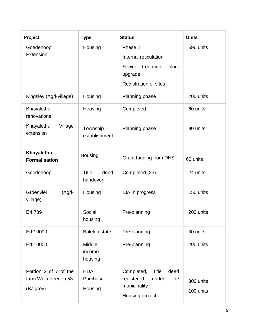| Project                                                         | <b>Type</b>                          | <b>Status</b>                                                                                       | <b>Units</b>           |
|-----------------------------------------------------------------|--------------------------------------|-----------------------------------------------------------------------------------------------------|------------------------|
| Goedehoop<br>Extension                                          | Housing                              | Phase 2<br>Internal reticulation<br>Sewer<br>treatment<br>plant<br>upgrade<br>Registration of sites | 596 units              |
| Kingsley (Agri-village)                                         | Housing                              | Planning phase                                                                                      | 200 units              |
| Khayalethu<br>renovations<br>Khayalethu<br>Village<br>extension | Housing<br>Township<br>establishment | Completed<br>Planning phase                                                                         | 60 units<br>90 units   |
| Khayalethu<br><b>Formalisation</b>                              | Housing                              | Grant funding from DHS                                                                              | 60 units               |
| Goedehoop                                                       | <b>Title</b><br>deed<br>handover     | Completed (23)                                                                                      | 24 units               |
| Groenvlei<br>(Agri-<br>village)                                 | Housing                              | EIA in progress                                                                                     | 150 units              |
| Erf 739                                                         | Social<br>housing                    | Pre-planning                                                                                        | 200 units              |
| Erf 10000                                                       | <b>Balele estate</b>                 | Pre-planning                                                                                        | 30 units               |
| Erf 10000                                                       | Middle<br>income<br>housing          | Pre-planning                                                                                        | 200 units              |
| Portion 2 of 7 of the<br>farm Weltervreden 53<br>(Balgrey)      | <b>HDA</b><br>Purchase<br>Housing    | Completed,<br>title<br>deed<br>registered<br>under<br>the<br>municipality<br>Housing project        | 300 units<br>100 units |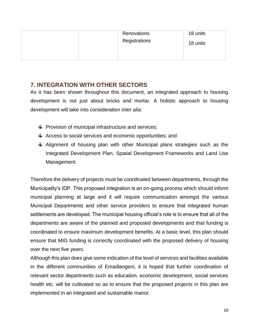| Renovations<br>Registrations | 18 units<br>18 units |
|------------------------------|----------------------|
|                              |                      |

#### <span id="page-10-0"></span>**7. INTEGRATION WITH OTHER SECTORS**

As it has been shown throughout this document, an integrated approach to housing development is not just about bricks and mortar. A holistic approach to housing development will take into consideration *inter alia*:

- $\downarrow$  Provision of municipal infrastructure and services;
- $\overline{\phantom{a}}$  Access to social services and economic opportunities; and
- Alignment of housing plan with other Municipal plans strategies such as the Integrated Development Plan, Spatial Development Frameworks and Land Use Management.

Therefore the delivery of projects must be coordinated between departments, through the Municipality's IDP. This proposed integration is an on-going process which should inform municipal planning at large and it will require communication amongst the various Municipal Departments and other service providers to ensure that integrated human settlements are developed. The municipal housing official's role is to ensure that all of the departments are aware of the planned and proposed developments and that funding is coordinated to ensure maximum development benefits. At a basic level, this plan should ensure that MIG funding is correctly coordinated with the proposed delivery of housing over the next five years.

Although this plan does give some indication of the level of services and facilities available in the different communities of Emadlangeni, it is hoped that further coordination of relevant sector departments such as education, economic development, social services health etc. will be cultivated so as to ensure that the proposed projects in this plan are implemented in an integrated and sustainable manor.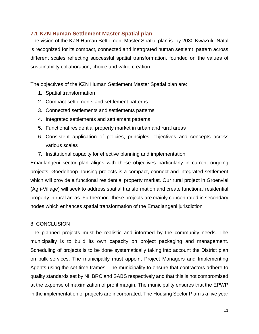#### <span id="page-11-0"></span>**7.1 KZN Human Settlement Master Spatial plan**

The vision of the KZN Human Settlement Master Spatial plan is: by 2030 KwaZulu-Natal is recognized for its compact, connected and inetrgrated human settlemt pattern across different scales reflecting successful spatial transformation, founded on the values of sustainability collaboration, choice and value creation.

The objectives of the KZN Human Settlement Master Spatial plan are:

- 1. Spatial transformation
- 2. Compact settlements and settlement patterns
- 3. Connected settlements and settlements patterns
- 4. Integrated settlements and settlement patterns
- 5. Functional residential property market in urban and rural areas
- 6. Consistent application of policies, principles, objectives and concepts across various scales
- <span id="page-11-1"></span>7. Institutional capacity for effective planning and implementation

Emadlangeni sector plan aligns with these objectives particularly in current ongoing projects. Goedehoop housing projects is a compact, connect and integrated settlement which will provide a functional residential property market. Our rural project in Groenvlei (Agri-Village) will seek to address spatial transformation and create functional residential property in rural areas. Furthermore these projects are mainly concentrated in secondary nodes which enhances spatial transformation of the Emadlangeni jurisdiction

#### 8. CONCLUSION

The planned projects must be realistic and informed by the community needs. The municipality is to build its own capacity on project packaging and management. Scheduling of projects is to be done systematically taking into account the District plan on bulk services. The municipality must appoint Project Managers and Implementing Agents using the set time frames. The municipality to ensure that contractors adhere to quality standards set by NHBRC and SABS respectively and that this is not compromised at the expense of maximization of profit margin. The municipality ensures that the EPWP in the implementation of projects are incorporated. The Housing Sector Plan is a five year